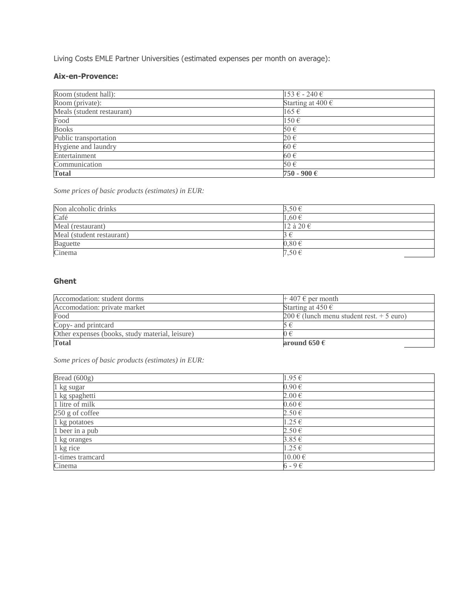Living Costs EMLE Partner Universities (estimated expenses per month on average):

### **Aix-en-Provence:**

| Room (student hall):       | $153 \text{ } \in$ - 240 $\in$ |  |
|----------------------------|--------------------------------|--|
| Room (private):            | Starting at $400 \in$          |  |
| Meals (student restaurant) | $165 \in$                      |  |
| Food                       | $150 \in$                      |  |
| <b>Books</b>               | 50€                            |  |
| Public transportation      | 20€                            |  |
| Hygiene and laundry        | 60€                            |  |
| Entertainment              | 60€                            |  |
| Communication              | 50€                            |  |
| <b>Total</b>               | 750 - 900 €                    |  |

*Some prices of basic products (estimates) in EUR:*

| Non alcoholic drinks      | 3,50€      |  |
|---------------------------|------------|--|
| Café                      | 1,60€      |  |
| Meal (restaurant)         | 12 à 20 €  |  |
| Meal (student restaurant) |            |  |
| Baguette                  | $0,80 \in$ |  |
| Cinema                    | 7,50€      |  |

### **Ghent**

| <b>Total</b>                                    | around 650 $\epsilon$                     |
|-------------------------------------------------|-------------------------------------------|
| Other expenses (books, study material, leisure) |                                           |
| Copy- and printcard                             |                                           |
| Food                                            | 200 € (lunch menu student rest. + 5 euro) |
| Accomodation: private market                    | Starting at $450 \in$                     |
| Accomodation: student dorms                     | $+407 \in$ per month                      |

*Some prices of basic products (estimates) in EUR:*

| Bread $(600g)$               | 1.95€       |
|------------------------------|-------------|
| 1 kg sugar                   | $0.90 \in$  |
| 1 kg spaghetti               | $2.00 \in$  |
| 1 litre of milk              | $0.60 \in$  |
| 250 g of coffee              | $2.50 \in$  |
| 1 kg potatoes                | $1.25 \in$  |
| $\overline{1}$ beer in a pub | $2.50 \in$  |
| 1 kg oranges                 | $3.85 \in$  |
| 1 kg rice                    | $1.25 \in$  |
| 1-times tramcard             | $10.00 \in$ |
| Cinema                       | $6 - 9 \in$ |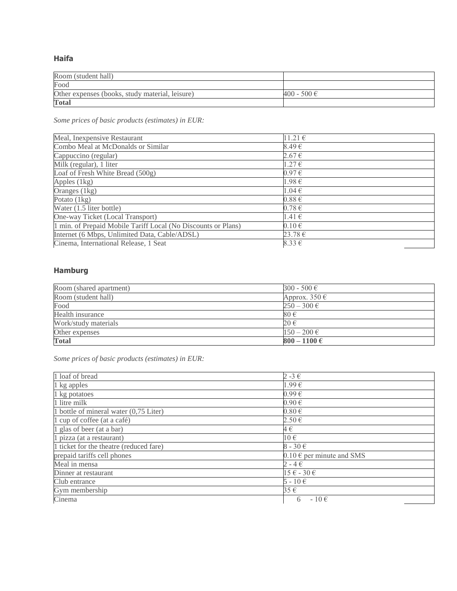**Haifa**

| Room (student hall)                             |             |
|-------------------------------------------------|-------------|
| Food                                            |             |
| Other expenses (books, study material, leisure) | 400 - 500 € |
| <b>Total</b>                                    |             |

*Some prices of basic products (estimates) in EUR:*

| 11.21€     |
|------------|
| 8.49€      |
| $2.67 \in$ |
| $1.27 \in$ |
| $0.97 \in$ |
| $1.98 \in$ |
| $1.04 \in$ |
| $0.88 \in$ |
| $0.78 \in$ |
| $1.41 \in$ |
| $0.10 \in$ |
| 23.78 €    |
| $8.33 \in$ |
|            |

## **Hamburg**

| Room (shared apartment) | $300 - 500 \in$           |
|-------------------------|---------------------------|
| Room (student hall)     | Approx. $350 \in$         |
| Food                    | $250 - 300 \in$           |
| Health insurance        | 80€                       |
| Work/study materials    | 20€                       |
| Other expenses          | $150 - 200 \in$           |
| <b>Total</b>            | $800 - 1100 \text{ } \in$ |

*Some prices of basic products (estimates) in EUR:*

| 1 loaf of bread                         | $2 - 3 \in$                   |
|-----------------------------------------|-------------------------------|
| 1 kg apples                             | 1.99€                         |
| 1 kg potatoes                           | $0.99 \in$                    |
| 1 litre milk                            | $0.90 \in$                    |
| 1 bottle of mineral water (0,75 Liter)  | $0.80 \in$                    |
| 1 cup of coffee (at a café)             | $2.50 \in$                    |
| 1 glas of beer (at a bar)               | 4€                            |
| 1 pizza (at a restaurant)               | $10 \in$                      |
| 1 ticket for the theatre (reduced fare) | $8 - 30 \in$                  |
| prepaid tariffs cell phones             | $0.10 \in$ per minute and SMS |
| Meal in mensa                           | $2 - 4 \in$                   |
| Dinner at restaurant                    | $15 \in -30 \in$              |
| Club entrance                           | $5 - 10 \in$                  |
| Gym membership                          | 35€                           |
| Cinema                                  | $-10 \in$<br>6                |